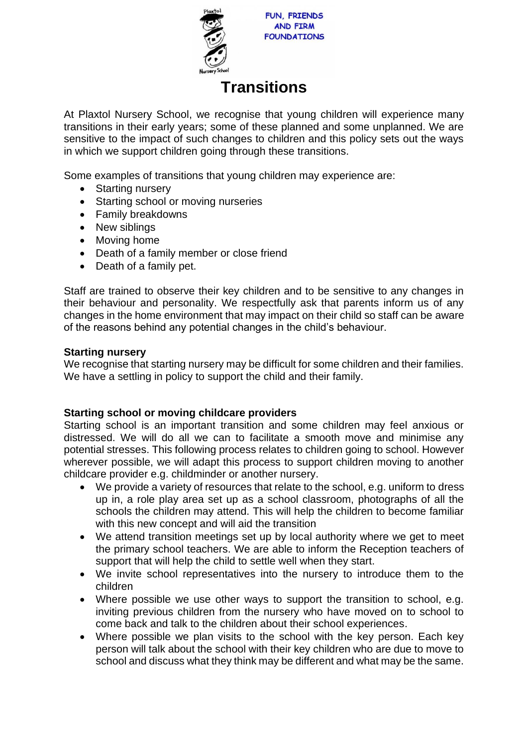

**FUN. FRIENDS AND FIRM FOUNDATIONS** 

# **Transitions**

At Plaxtol Nursery School, we recognise that young children will experience many transitions in their early years; some of these planned and some unplanned. We are sensitive to the impact of such changes to children and this policy sets out the ways in which we support children going through these transitions.

Some examples of transitions that young children may experience are:

- Starting nursery
- Starting school or moving nurseries
- Family breakdowns
- New siblings
- Moving home
- Death of a family member or close friend
- Death of a family pet.

Staff are trained to observe their key children and to be sensitive to any changes in their behaviour and personality. We respectfully ask that parents inform us of any changes in the home environment that may impact on their child so staff can be aware of the reasons behind any potential changes in the child's behaviour.

## **Starting nursery**

We recognise that starting nursery may be difficult for some children and their families. We have a settling in policy to support the child and their family.

## **Starting school or moving childcare providers**

Starting school is an important transition and some children may feel anxious or distressed. We will do all we can to facilitate a smooth move and minimise any potential stresses. This following process relates to children going to school. However wherever possible, we will adapt this process to support children moving to another childcare provider e.g. childminder or another nursery.

- We provide a variety of resources that relate to the school, e.g. uniform to dress up in, a role play area set up as a school classroom, photographs of all the schools the children may attend. This will help the children to become familiar with this new concept and will aid the transition
- We attend transition meetings set up by local authority where we get to meet the primary school teachers. We are able to inform the Reception teachers of support that will help the child to settle well when they start.
- We invite school representatives into the nursery to introduce them to the children
- Where possible we use other ways to support the transition to school, e.g. inviting previous children from the nursery who have moved on to school to come back and talk to the children about their school experiences.
- Where possible we plan visits to the school with the key person. Each key person will talk about the school with their key children who are due to move to school and discuss what they think may be different and what may be the same.